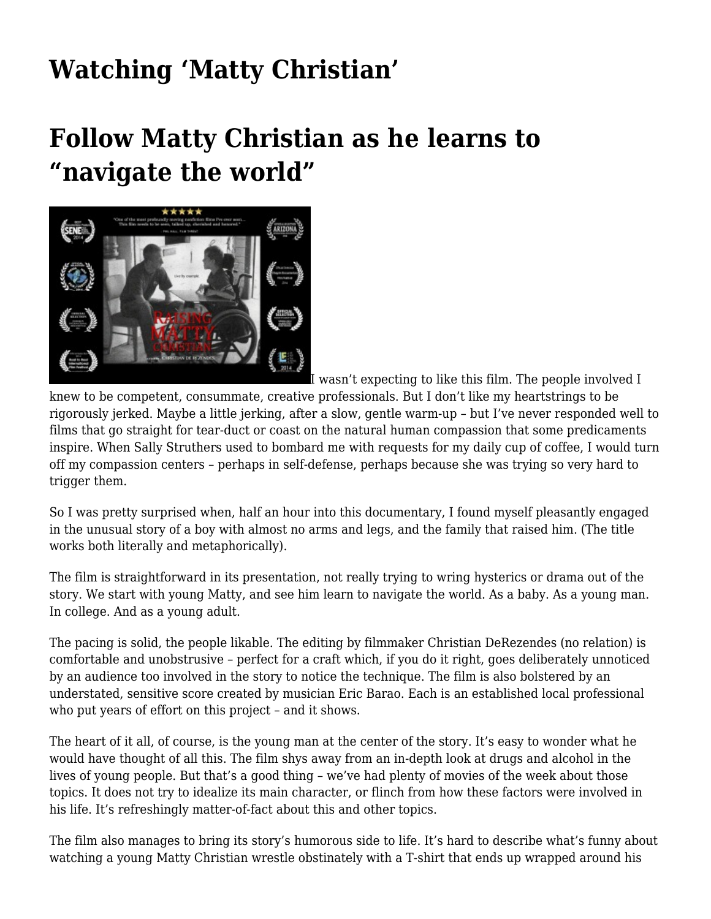## **[Watching 'Matty Christian'](https://motifri.com/raisingreview/)**

## **Follow Matty Christian as he learns to "navigate the world"**



[I](http://www.raisingmattychristian.com/) wasn't expecting to like this film. The people involved I

knew to be competent, consummate, creative professionals. But I don't like my heartstrings to be rigorously jerked. Maybe a little jerking, after a slow, gentle warm-up – but I've never responded well to films that go straight for tear-duct or coast on the natural human compassion that some predicaments inspire. When Sally Struthers used to bombard me with requests for my daily cup of coffee, I would turn off my compassion centers – perhaps in self-defense, perhaps because she was trying so very hard to trigger them.

So I was pretty surprised when, half an hour into this documentary, I found myself pleasantly engaged in the unusual story of a boy with almost no arms and legs, and the family that raised him. (The title works both literally and metaphorically).

The film is straightforward in its presentation, not really trying to wring hysterics or drama out of the story. We start with young Matty, and see him learn to navigate the world. As a baby. As a young man. In college. And as a young adult.

The pacing is solid, the people likable. The [editing by filmmaker Christian DeRezendes](http://www.raisingmattychristian.com/) (no relation) is comfortable and unobstrusive – perfect for a craft which, if you do it right, goes deliberately unnoticed by an audience too involved in the story to notice the technique. The film is also bolstered by an understated, sensitive score created by musician Eric Barao. Each is an established local professional who put years of effort on this project – and it shows.

The heart of it all, of course, is the young man at the center of the story. It's easy to wonder what he would have thought of all this. The film shys away from an in-depth look at drugs and alcohol in the lives of young people. But that's a good thing – we've had plenty of movies of the week about those topics. It does not try to idealize its main character, or flinch from how these factors were involved in his life. It's refreshingly matter-of-fact about this and other topics.

The film also manages to bring its story's humorous side to life. It's hard to describe what's funny about watching a young Matty Christian wrestle obstinately with a T-shirt that ends up wrapped around his